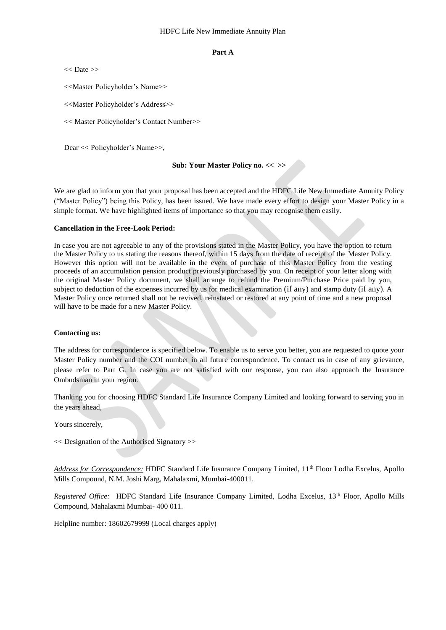#### **Part A**

 $<<$  Date  $>>$ 

<<Master Policyholder's Name>>

<<Master Policyholder's Address>>

<< Master Policyholder's Contact Number>>

Dear << Policyholder's Name>>,

#### **Sub: Your Master Policy no. << >>**

We are glad to inform you that your proposal has been accepted and the HDFC Life New Immediate Annuity Policy ("Master Policy") being this Policy, has been issued. We have made every effort to design your Master Policy in a simple format. We have highlighted items of importance so that you may recognise them easily.

#### **Cancellation in the Free-Look Period:**

In case you are not agreeable to any of the provisions stated in the Master Policy, you have the option to return the Master Policy to us stating the reasons thereof, within 15 days from the date of receipt of the Master Policy. However this option will not be available in the event of purchase of this Master Policy from the vesting proceeds of an accumulation pension product previously purchased by you. On receipt of your letter along with the original Master Policy document, we shall arrange to refund the Premium/Purchase Price paid by you, subject to deduction of the expenses incurred by us for medical examination (if any) and stamp duty (if any). A Master Policy once returned shall not be revived, reinstated or restored at any point of time and a new proposal will have to be made for a new Master Policy.

#### **Contacting us:**

The address for correspondence is specified below. To enable us to serve you better, you are requested to quote your Master Policy number and the COI number in all future correspondence. To contact us in case of any grievance, please refer to Part G. In case you are not satisfied with our response, you can also approach the Insurance Ombudsman in your region.

Thanking you for choosing HDFC Standard Life Insurance Company Limited and looking forward to serving you in the years ahead,

Yours sincerely,

<< Designation of the Authorised Signatory >>

*Address for Correspondence:* HDFC Standard Life Insurance Company Limited, 11th Floor Lodha Excelus, Apollo Mills Compound, N.M. Joshi Marg, Mahalaxmi, Mumbai-400011.

*Registered Office:* HDFC Standard Life Insurance Company Limited, Lodha Excelus, 13<sup>th</sup> Floor, Apollo Mills Compound, Mahalaxmi Mumbai- 400 011.

Helpline number: 18602679999 (Local charges apply)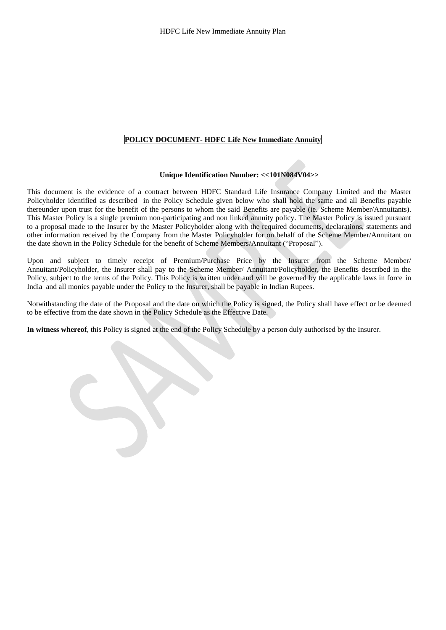#### **POLICY DOCUMENT- HDFC Life New Immediate Annuity**

#### **Unique Identification Number: <<101N084V04>>**

This document is the evidence of a contract between HDFC Standard Life Insurance Company Limited and the Master Policyholder identified as described in the Policy Schedule given below who shall hold the same and all Benefits payable thereunder upon trust for the benefit of the persons to whom the said Benefits are payable (ie. Scheme Member/Annuitants). This Master Policy is a single premium non-participating and non linked annuity policy. The Master Policy is issued pursuant to a proposal made to the Insurer by the Master Policyholder along with the required documents, declarations, statements and other information received by the Company from the Master Policyholder for on behalf of the Scheme Member/Annuitant on the date shown in the Policy Schedule for the benefit of Scheme Members/Annuitant ("Proposal").

Upon and subject to timely receipt of Premium/Purchase Price by the Insurer from the Scheme Member/ Annuitant/Policyholder, the Insurer shall pay to the Scheme Member/ Annuitant/Policyholder, the Benefits described in the Policy, subject to the terms of the Policy. This Policy is written under and will be governed by the applicable laws in force in India and all monies payable under the Policy to the Insurer, shall be payable in Indian Rupees.

Notwithstanding the date of the Proposal and the date on which the Policy is signed, the Policy shall have effect or be deemed to be effective from the date shown in the Policy Schedule as the Effective Date.

**In witness whereof**, this Policy is signed at the end of the Policy Schedule by a person duly authorised by the Insurer.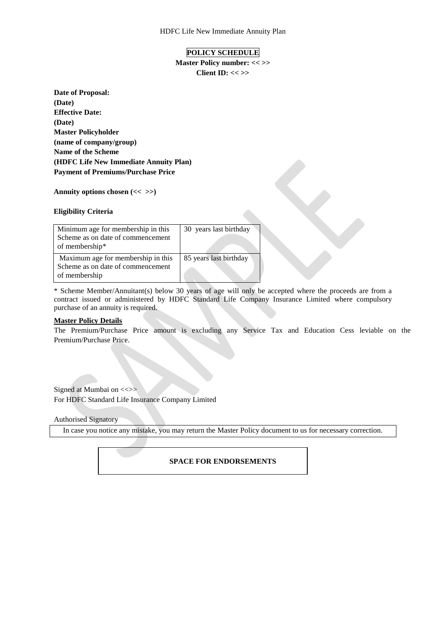#### **POLICY SCHEDULE**

**Master Policy number: << >> Client ID: << >>**

**Date of Proposal: (Date) Effective Date: (Date) Master Policyholder (name of company/group) Name of the Scheme (HDFC Life New Immediate Annuity Plan) Payment of Premiums/Purchase Price**

**Annuity options chosen (<< >>)**

#### **Eligibility Criteria**

| Minimum age for membership in this | 30 years last birthday |
|------------------------------------|------------------------|
| Scheme as on date of commencement  |                        |
| of membership*                     |                        |
| Maximum age for membership in this | 85 years last birthday |
| Scheme as on date of commencement  |                        |
| of membership                      |                        |

\* Scheme Member/Annuitant(s) below 30 years of age will only be accepted where the proceeds are from a contract issued or administered by HDFC Standard Life Company Insurance Limited where compulsory purchase of an annuity is required.

#### **Master Policy Details**

The Premium/Purchase Price amount is excluding any Service Tax and Education Cess leviable on the Premium/Purchase Price.

Signed at Mumbai on <<>> For HDFC Standard Life Insurance Company Limited

Authorised Signatory

In case you notice any mistake, you may return the Master Policy document to us for necessary correction.

#### **SPACE FOR ENDORSEMENTS**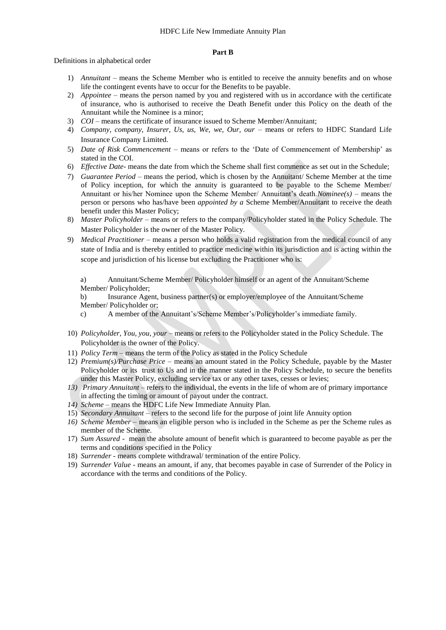#### **Part B**

Definitions in alphabetical order

- 1) *Annuitant –* means the Scheme Member who is entitled to receive the annuity benefits and on whose life the contingent events have to occur for the Benefits to be payable.
- 2) *Appointee –* means the person named by you and registered with us in accordance with the certificate of insurance, who is authorised to receive the Death Benefit under this Policy on the death of the Annuitant while the Nominee is a minor;
- 3) *COI* means the certificate of insurance issued to Scheme Member/Annuitant;
- 4) *Company, company, Insurer, Us, us, We, we, Our, our –* means or refers to HDFC Standard Life Insurance Company Limited.
- 5) *Date of Risk Commencement*  means or refers to the 'Date of Commencement of Membership' as stated in the COI.
- 6) *Effective Date-* means the date from which the Scheme shall first commence as set out in the Schedule;
- 7) *Guarantee Period*  means the period, which is chosen by the Annuitant/ Scheme Member at the time of Policy inception, for which the annuity is guaranteed to be payable to the Scheme Member/ Annuitant or his/her Nominee upon the Scheme Member/ Annuitant's death.*Nominee(s) –* means the person or persons who has/have been *appointed by a* Scheme Member/Annuitant to receive the death benefit under this Master Policy;
- 8) *Master Policyholder*  means or refers to the company/Policyholder stated in the Policy Schedule. The Master Policyholder is the owner of the Master Policy.
- 9) *Medical Practitioner*  means a person who holds a valid registration from the medical council of any state of India and is thereby entitled to practice medicine within its jurisdiction and is acting within the scope and jurisdiction of his license but excluding the Practitioner who is:

a) Annuitant/Scheme Member/ Policyholder himself or an agent of the Annuitant/Scheme Member/ Policyholder;

b) Insurance Agent, business partner(s) or employer/employee of the Annuitant/Scheme Member/ Policyholder or;

- c) A member of the Annuitant's/Scheme Member's/Policyholder's immediate family.
- 10) *Policyholder, You, you, your* means or refers to the Policyholder stated in the Policy Schedule. The Policyholder is the owner of the Policy.
- 11) *Policy Term*  means the term of the Policy as stated in the Policy Schedule
- 12) *Premium(s)/Purchase Price*  means an amount stated in the Policy Schedule, payable by the Master Policyholder or its trust to Us and in the manner stated in the Policy Schedule, to secure the benefits under this Master Policy, excluding service tax or any other taxes, cesses or levies;
- *13) Primary Annuitant –* refers to the individual, the events in the life of whom are of primary importance in affecting the timing or amount of payout under the contract.
- *14) Scheme –* means the HDFC Life New Immediate Annuity Plan.
- 15) *Secondary Annuitant* refers to the second life for the purpose of joint life Annuity option
- *16) Scheme Member* means an eligible person who is included in the Scheme as per the Scheme rules as member of the Scheme.
- 17) *Sum Assured* mean the absolute amount of benefit which is guaranteed to become payable as per the terms and conditions specified in the Policy
- 18) *Surrender* means complete withdrawal/ termination of the entire Policy.
- 19) *Surrender Value* means an amount, if any, that becomes payable in case of Surrender of the Policy in accordance with the terms and conditions of the Policy.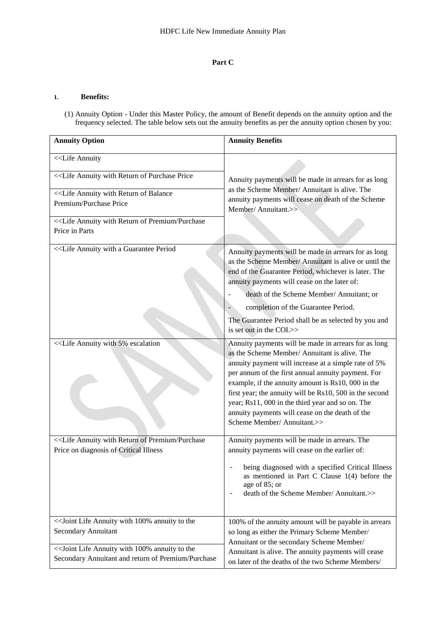# **Part C**

#### **1. Benefits:**

(1) Annuity Option - Under this Master Policy, the amount of Benefit depends on the annuity option and the frequency selected. The table below sets out the annuity benefits as per the annuity option chosen by you:

| <b>Annuity Option</b>                                                                                                                  | <b>Annuity Benefits</b>                                                                                                                                                                                                                                                                                                                                                                                                                                                    |
|----------------------------------------------------------------------------------------------------------------------------------------|----------------------------------------------------------------------------------------------------------------------------------------------------------------------------------------------------------------------------------------------------------------------------------------------------------------------------------------------------------------------------------------------------------------------------------------------------------------------------|
| < <life annuity<="" td=""><td></td></life>                                                                                             |                                                                                                                                                                                                                                                                                                                                                                                                                                                                            |
|                                                                                                                                        | Annuity payments will be made in arrears for as long<br>as the Scheme Member/ Annuitant is alive. The                                                                                                                                                                                                                                                                                                                                                                      |
|                                                                                                                                        | annuity payments will cease on death of the Scheme                                                                                                                                                                                                                                                                                                                                                                                                                         |
| Premium/Purchase Price                                                                                                                 | Member/ Annuitant.>>                                                                                                                                                                                                                                                                                                                                                                                                                                                       |
| < <life annuity="" of="" premium="" purchase<="" return="" td="" with=""><td></td></life>                                              |                                                                                                                                                                                                                                                                                                                                                                                                                                                                            |
| Price in Parts                                                                                                                         |                                                                                                                                                                                                                                                                                                                                                                                                                                                                            |
|                                                                                                                                        | Annuity payments will be made in arrears for as long<br>as the Scheme Member/ Annuitant is alive or until the<br>end of the Guarantee Period, whichever is later. The<br>annuity payments will cease on the later of:<br>death of the Scheme Member/ Annuitant; or<br>completion of the Guarantee Period.<br>The Guarantee Period shall be as selected by you and                                                                                                          |
|                                                                                                                                        | is set out in the COI.>>                                                                                                                                                                                                                                                                                                                                                                                                                                                   |
|                                                                                                                                        | Annuity payments will be made in arrears for as long<br>as the Scheme Member/ Annuitant is alive. The<br>annuity payment will increase at a simple rate of 5%<br>per annum of the first annual annuity payment. For<br>example, if the annuity amount is Rs10, 000 in the<br>first year; the annuity will be Rs10, 500 in the second<br>year; Rs11, 000 in the third year and so on. The<br>annuity payments will cease on the death of the<br>Scheme Member/ Annuitant.>> |
| < <life annuity="" of="" premium="" purchase<="" return="" td="" with=""><td>Annuity payments will be made in arrears. The</td></life> | Annuity payments will be made in arrears. The                                                                                                                                                                                                                                                                                                                                                                                                                              |
| Price on diagnosis of Critical Illness                                                                                                 | annuity payments will cease on the earlier of:<br>being diagnosed with a specified Critical Illness<br>as mentioned in Part C Clause $1(4)$ before the<br>age of 85; or<br>death of the Scheme Member/ Annuitant.>>                                                                                                                                                                                                                                                        |
| << Joint Life Annuity with 100% annuity to the                                                                                         | 100% of the annuity amount will be payable in arrears                                                                                                                                                                                                                                                                                                                                                                                                                      |
| Secondary Annuitant                                                                                                                    | so long as either the Primary Scheme Member/<br>Annuitant or the secondary Scheme Member/                                                                                                                                                                                                                                                                                                                                                                                  |
| << Joint Life Annuity with 100% annuity to the<br>Secondary Annuitant and return of Premium/Purchase                                   | Annuitant is alive. The annuity payments will cease<br>on later of the deaths of the two Scheme Members/                                                                                                                                                                                                                                                                                                                                                                   |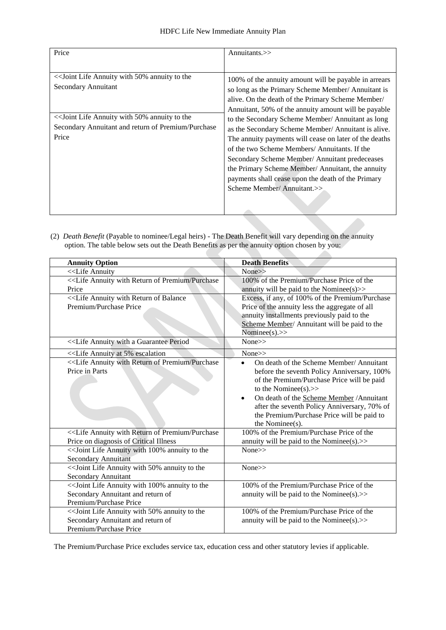| Price                                                                                                                                                                                        | Annuitants. $\gg$                                                                                                                                                                                                                                                                                                                                                                                                                                                                                                                                                                                                                        |
|----------------------------------------------------------------------------------------------------------------------------------------------------------------------------------------------|------------------------------------------------------------------------------------------------------------------------------------------------------------------------------------------------------------------------------------------------------------------------------------------------------------------------------------------------------------------------------------------------------------------------------------------------------------------------------------------------------------------------------------------------------------------------------------------------------------------------------------------|
|                                                                                                                                                                                              |                                                                                                                                                                                                                                                                                                                                                                                                                                                                                                                                                                                                                                          |
| << Joint Life Annuity with 50% annuity to the<br>Secondary Annuitant<br>< <a>Soint Life Annuity with 50% annuity to the<br/>Secondary Annuitant and return of Premium/Purchase<br/>Price</a> | 100% of the annuity amount will be payable in arrears<br>so long as the Primary Scheme Member/ Annuitant is<br>alive. On the death of the Primary Scheme Member/<br>Annuitant, 50% of the annuity amount will be payable<br>to the Secondary Scheme Member/ Annuitant as long<br>as the Secondary Scheme Member/ Annuitant is alive.<br>The annuity payments will cease on later of the deaths<br>of the two Scheme Members/Annuitants. If the<br>Secondary Scheme Member/Annuitant predeceases<br>the Primary Scheme Member/ Annuitant, the annuity<br>payments shall cease upon the death of the Primary<br>Scheme Member/Annuitant.>> |
|                                                                                                                                                                                              |                                                                                                                                                                                                                                                                                                                                                                                                                                                                                                                                                                                                                                          |

(2) *Death Benefit* (Payable to nominee/Legal heirs) - The Death Benefit will vary depending on the annuity option. The table below sets out the Death Benefits as per the annuity option chosen by you:

| <b>Annuity Option</b>                                                                                                                                      | <b>Death Benefits</b>                                  |
|------------------------------------------------------------------------------------------------------------------------------------------------------------|--------------------------------------------------------|
| < <life annuity<="" td=""><td>None&gt;&gt;</td></life>                                                                                                     | None>>                                                 |
| < <life annuity="" of="" premium="" purchase<="" return="" td="" with=""><td>100% of the Premium/Purchase Price of the</td></life>                         | 100% of the Premium/Purchase Price of the              |
| Price                                                                                                                                                      | annuity will be paid to the Nominee(s) $>$             |
| < <life annuity="" balance<="" of="" return="" td="" with=""><td>Excess, if any, of 100% of the Premium/Purchase</td></life>                               | Excess, if any, of 100% of the Premium/Purchase        |
| Premium/Purchase Price                                                                                                                                     | Price of the annuity less the aggregate of all         |
|                                                                                                                                                            | annuity installments previously paid to the            |
|                                                                                                                                                            | Scheme Member/ Annuitant will be paid to the           |
|                                                                                                                                                            | Nominee(s). $>>$                                       |
|                                                                                                                                                            | None>>                                                 |
| < <life 5%="" annuity="" at="" escalation<="" td=""><td>None&gt;&gt;</td></life>                                                                           | None>>                                                 |
| < <life annuity="" of="" premium="" purchase<="" return="" td="" with=""><td>On death of the Scheme Member/ Annuitant<br/><math>\bullet</math></td></life> | On death of the Scheme Member/ Annuitant<br>$\bullet$  |
| Price in Parts                                                                                                                                             | before the seventh Policy Anniversary, 100%            |
|                                                                                                                                                            | of the Premium/Purchase Price will be paid             |
|                                                                                                                                                            | to the Nominee(s). $>>$                                |
|                                                                                                                                                            | On death of the Scheme Member / Annuitant<br>$\bullet$ |
|                                                                                                                                                            | after the seventh Policy Anniversary, 70% of           |
|                                                                                                                                                            | the Premium/Purchase Price will be paid to             |
|                                                                                                                                                            | the Nominee(s).                                        |
| < <life annuity="" of="" premium="" purchase<="" return="" td="" with=""><td>100% of the Premium/Purchase Price of the</td></life>                         | 100% of the Premium/Purchase Price of the              |
| Price on diagnosis of Critical Illness                                                                                                                     | annuity will be paid to the Nominee(s).>>              |
| << Joint Life Annuity with 100% annuity to the                                                                                                             | None>>                                                 |
| <b>Secondary Annuitant</b>                                                                                                                                 |                                                        |
| << Joint Life Annuity with 50% annuity to the                                                                                                              | None>>                                                 |
| Secondary Annuitant                                                                                                                                        |                                                        |
| << Joint Life Annuity with 100% annuity to the                                                                                                             | 100% of the Premium/Purchase Price of the              |
| Secondary Annuitant and return of                                                                                                                          | annuity will be paid to the Nominee(s). $>$            |
| Premium/Purchase Price                                                                                                                                     |                                                        |
|                                                                                                                                                            | 100% of the Premium/Purchase Price of the              |
| Secondary Annuitant and return of                                                                                                                          | annuity will be paid to the Nominee(s). $>$            |
| Premium/Purchase Price                                                                                                                                     |                                                        |

The Premium/Purchase Price excludes service tax, education cess and other statutory levies if applicable.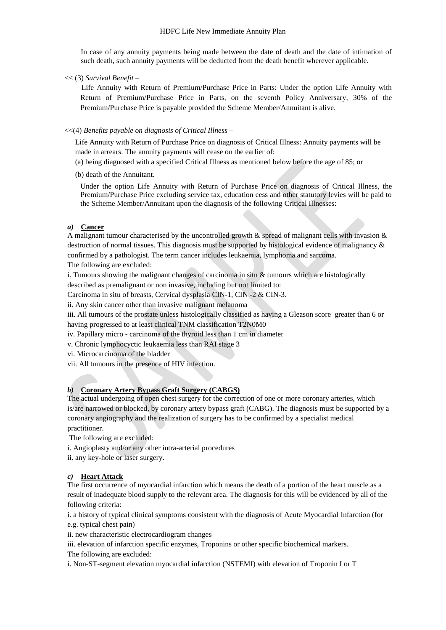In case of any annuity payments being made between the date of death and the date of intimation of such death, such annuity payments will be deducted from the death benefit wherever applicable.

<< (3) *Survival Benefit* –

 Life Annuity with Return of Premium/Purchase Price in Parts: Under the option Life Annuity with Return of Premium/Purchase Price in Parts, on the seventh Policy Anniversary, 30% of the Premium/Purchase Price is payable provided the Scheme Member/Annuitant is alive.

#### <<(4) *Benefits payable on diagnosis of Critical Illness –*

Life Annuity with Return of Purchase Price on diagnosis of Critical Illness: Annuity payments will be made in arrears. The annuity payments will cease on the earlier of:

- (a) being diagnosed with a specified Critical Illness as mentioned below before the age of 85; or
- (b) death of the Annuitant.

Under the option Life Annuity with Return of Purchase Price on diagnosis of Critical Illness, the Premium/Purchase Price excluding service tax, education cess and other statutory levies will be paid to the Scheme Member/Annuitant upon the diagnosis of the following Critical Illnesses:

#### *a)* **Cancer**

A malignant tumour characterised by the uncontrolled growth & spread of malignant cells with invasion & destruction of normal tissues. This diagnosis must be supported by histological evidence of malignancy & confirmed by a pathologist. The term cancer includes leukaemia, lymphoma and sarcoma.

The following are excluded:

i. Tumours showing the malignant changes of carcinoma in situ & tumours which are histologically described as premalignant or non invasive, including but not limited to:

Carcinoma in situ of breasts, Cervical dysplasia CIN-1, CIN -2 & CIN-3.

ii. Any skin cancer other than invasive malignant melanoma

iii. All tumours of the prostate unless histologically classified as having a Gleason score greater than 6 or having progressed to at least clinical TNM classification T2N0M0

iv. Papillary micro - carcinoma of the thyroid less than 1 cm in diameter

v. Chronic lymphocyctic leukaemia less than RAI stage 3

vi. Microcarcinoma of the bladder

vii. All tumours in the presence of HIV infection.

# *b)* **Coronary Artery Bypass Graft Surgery (CABGS)**

The actual undergoing of open chest surgery for the correction of one or more coronary arteries, which is/are narrowed or blocked, by coronary artery bypass graft (CABG). The diagnosis must be supported by a coronary angiography and the realization of surgery has to be confirmed by a specialist medical practitioner.

The following are excluded:

i. Angioplasty and/or any other intra-arterial procedures

ii. any key-hole or laser surgery.

#### *c)* **Heart Attack**

The first occurrence of myocardial infarction which means the death of a portion of the heart muscle as a result of inadequate blood supply to the relevant area. The diagnosis for this will be evidenced by all of the following criteria:

i. a history of typical clinical symptoms consistent with the diagnosis of Acute Myocardial Infarction (for e.g. typical chest pain)

ii. new characteristic electrocardiogram changes

iii. elevation of infarction specific enzymes, Troponins or other specific biochemical markers. The following are excluded:

i. Non-ST-segment elevation myocardial infarction (NSTEMI) with elevation of Troponin I or T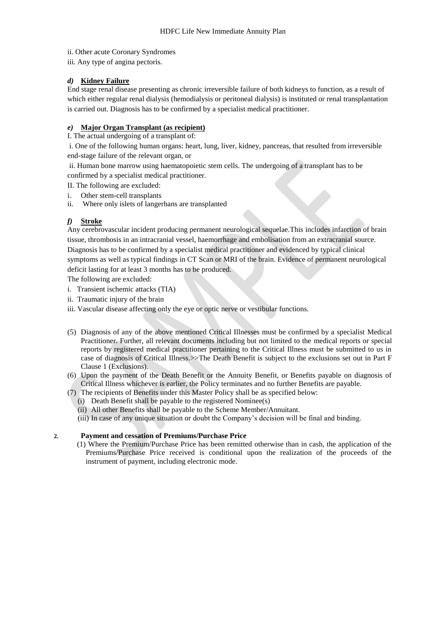ii. Other acute Coronary Syndromes

iii. Any type of angina pectoris.

# *d)* **Kidney Failure**

End stage renal disease presenting as chronic irreversible failure of both kidneys to function, as a result of which either regular renal dialysis (hemodialysis or peritoneal dialysis) is instituted or renal transplantation is carried out. Diagnosis has to be confirmed by a specialist medical practitioner.

# *e)* **Major Organ Transplant (as recipient)**

I. The actual undergoing of a transplant of:

i. One of the following human organs: heart, lung, liver, kidney, pancreas, that resulted from irreversible end-stage failure of the relevant organ, or

ii. Human bone marrow using haematopoietic stem cells. The undergoing of a transplant has to be confirmed by a specialist medical practitioner.

II. The following are excluded:

- i. Other stem-cell transplants
- ii. Where only islets of langerhans are transplanted

# *f)* **Stroke**

Any cerebrovascular incident producing permanent neurological sequelae.This includes infarction of brain tissue, thrombosis in an intracranial vessel, haemorrhage and embolisation from an extracranial source. Diagnosis has to be confirmed by a specialist medical practitioner and evidenced by typical clinical symptoms as well as typical findings in CT Scan or MRI of the brain. Evidence of permanent neurological deficit lasting for at least 3 months has to be produced.

The following are excluded:

- i.Transient ischemic attacks (TIA)
- ii. Traumatic injury of the brain
- iii. Vascular disease affecting only the eye or optic nerve or vestibular functions.
- (5) Diagnosis of any of the above mentioned Critical Illnesses must be confirmed by a specialist Medical Practitioner. Further, all relevant documents including but not limited to the medical reports or special reports by registered medical practitioner pertaining to the Critical Illness must be submitted to us in case of diagnosis of Critical Illness.>>The Death Benefit is subject to the exclusions set out in Part F Clause 1 (Exclusions).
- (6) Upon the payment of the Death Benefit or the Annuity Benefit, or Benefits payable on diagnosis of Critical Illness whichever is earlier, the Policy terminates and no further Benefits are payable.
- (7) The recipients of Benefits under this Master Policy shall be as specified below:
- (i) Death Benefit shall be payable to the registered Nominee(s)
	- (ii) All other Benefits shall be payable to the Scheme Member/Annuitant.

(iii) In case of any unique situation or doubt the Company's decision will be final and binding.

#### **2. Payment and cessation of Premiums/Purchase Price**

(1) Where the Premium/Purchase Price has been remitted otherwise than in cash, the application of the Premiums/Purchase Price received is conditional upon the realization of the proceeds of the instrument of payment, including electronic mode.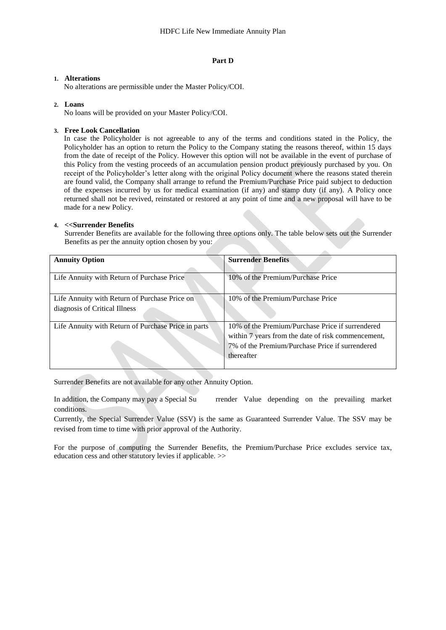#### **Part D**

#### **1. Alterations**

No alterations are permissible under the Master Policy/COI.

#### **2. Loans**

No loans will be provided on your Master Policy/COI.

#### **3. Free Look Cancellation**

In case the Policyholder is not agreeable to any of the terms and conditions stated in the Policy, the Policyholder has an option to return the Policy to the Company stating the reasons thereof, within 15 days from the date of receipt of the Policy. However this option will not be available in the event of purchase of this Policy from the vesting proceeds of an accumulation pension product previously purchased by you. On receipt of the Policyholder's letter along with the original Policy document where the reasons stated therein are found valid, the Company shall arrange to refund the Premium/Purchase Price paid subject to deduction of the expenses incurred by us for medical examination (if any) and stamp duty (if any). A Policy once returned shall not be revived, reinstated or restored at any point of time and a new proposal will have to be made for a new Policy.

#### **4. <<Surrender Benefits**

Surrender Benefits are available for the following three options only. The table below sets out the Surrender Benefits as per the annuity option chosen by you:

| <b>Annuity Option</b>                                                          | <b>Surrender Benefits</b>                                                                                                                                               |
|--------------------------------------------------------------------------------|-------------------------------------------------------------------------------------------------------------------------------------------------------------------------|
| Life Annuity with Return of Purchase Price                                     | 10% of the Premium/Purchase Price                                                                                                                                       |
| Life Annuity with Return of Purchase Price on<br>diagnosis of Critical Illness | 10% of the Premium/Purchase Price                                                                                                                                       |
| Life Annuity with Return of Purchase Price in parts                            | 10% of the Premium/Purchase Price if surrendered<br>within 7 years from the date of risk commencement,<br>7% of the Premium/Purchase Price if surrendered<br>thereafter |

Surrender Benefits are not available for any other Annuity Option.

In addition, the Company may pay a Special Su rrender Value depending on the prevailing market conditions.

Currently, the Special Surrender Value (SSV) is the same as Guaranteed Surrender Value. The SSV may be revised from time to time with prior approval of the Authority.

For the purpose of computing the Surrender Benefits, the Premium/Purchase Price excludes service tax, education cess and other statutory levies if applicable. >>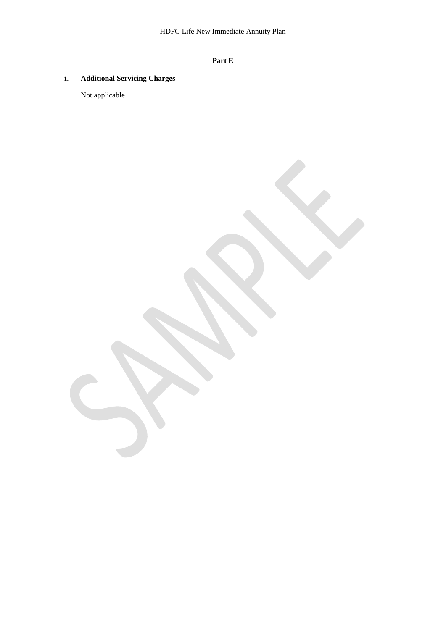# **Part E**

# **1. Additional Servicing Charges**

Not applicable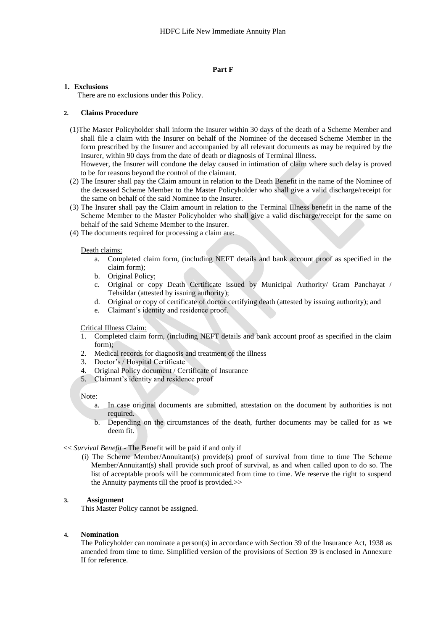#### **Part F**

#### **1. Exclusions**

There are no exclusions under this Policy.

#### **2. Claims Procedure**

(1)The Master Policyholder shall inform the Insurer within 30 days of the death of a Scheme Member and shall file a claim with the Insurer on behalf of the Nominee of the deceased Scheme Member in the form prescribed by the Insurer and accompanied by all relevant documents as may be required by the Insurer, within 90 days from the date of death or diagnosis of Terminal Illness.

However, the Insurer will condone the delay caused in intimation of claim where such delay is proved to be for reasons beyond the control of the claimant.

- (2) The Insurer shall pay the Claim amount in relation to the Death Benefit in the name of the Nominee of the deceased Scheme Member to the Master Policyholder who shall give a valid discharge/receipt for the same on behalf of the said Nominee to the Insurer.
- (3) The Insurer shall pay the Claim amount in relation to the Terminal Illness benefit in the name of the Scheme Member to the Master Policyholder who shall give a valid discharge/receipt for the same on behalf of the said Scheme Member to the Insurer.
- (4) The documents required for processing a claim are:

#### Death claims:

- a. Completed claim form, (including NEFT details and bank account proof as specified in the claim form);
- b. Original Policy;<br>c. Original or con
- Original or copy Death Certificate issued by Municipal Authority/ Gram Panchayat / Tehsildar (attested by issuing authority);
- d. Original or copy of certificate of doctor certifying death (attested by issuing authority); and
- e. Claimant's identity and residence proof.

#### Critical Illness Claim:

- 1. Completed claim form, (including NEFT details and bank account proof as specified in the claim form);
- 2. Medical records for diagnosis and treatment of the illness
- 3. Doctor's / Hospital Certificate
- 4. Original Policy document / Certificate of Insurance
- 5. Claimant's identity and residence proof

#### Note:

- a. In case original documents are submitted, attestation on the document by authorities is not required.
- b. Depending on the circumstances of the death, further documents may be called for as we deem fit.

#### << *Survival Benefit -* The Benefit will be paid if and only if

 (i) The Scheme Member/Annuitant(s) provide(s) proof of survival from time to time The Scheme Member/Annuitant(s) shall provide such proof of survival, as and when called upon to do so. The list of acceptable proofs will be communicated from time to time. We reserve the right to suspend the Annuity payments till the proof is provided.>>

### **3. Assignment**

This Master Policy cannot be assigned.

#### **4. Nomination**

The Policyholder can nominate a person(s) in accordance with Section 39 of the Insurance Act, 1938 as amended from time to time. Simplified version of the provisions of Section 39 is enclosed in Annexure II for reference.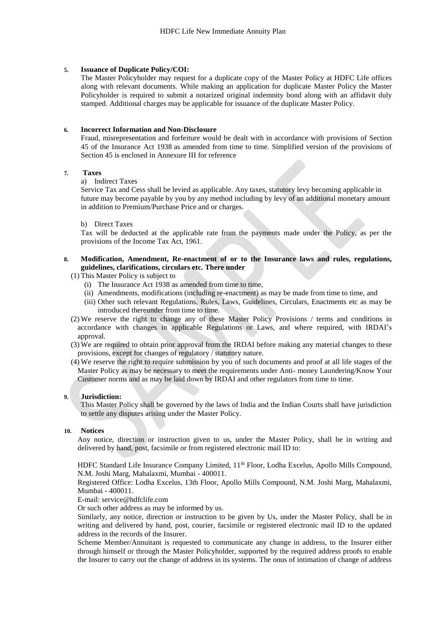#### **5. Issuance of Duplicate Policy/COI:**

The Master Policyholder may request for a duplicate copy of the Master Policy at HDFC Life offices along with relevant documents. While making an application for duplicate Master Policy the Master Policyholder is required to submit a notarized original indemnity bond along with an affidavit duly stamped. Additional charges may be applicable for issuance of the duplicate Master Policy.

#### **6. Incorrect Information and Non-Disclosure**

Fraud, misrepresentation and forfeiture would be dealt with in accordance with provisions of Section 45 of the Insurance Act 1938 as amended from time to time. Simplified version of the provisions of Section 45 is enclosed in Annexure III for reference

#### **7. Taxes**

a) Indirect Taxes

Service Tax and Cess shall be levied as applicable. Any taxes, statutory levy becoming applicable in future may become payable by you by any method including by levy of an additional monetary amount in addition to Premium/Purchase Price and or charges.

#### b) Direct Taxes

Tax will be deducted at the applicable rate from the payments made under the Policy, as per the provisions of the Income Tax Act, 1961.

## **8. Modification, Amendment, Re-enactment of or to the Insurance laws and rules, regulations, guidelines, clarifications, circulars etc. There under**

- (1) This Master Policy is subject to
	- (i) The Insurance Act 1938 as amended from time to time,
	- (ii) Amendments, modifications (including re-enactment) as may be made from time to time, and
	- (iii) Other such relevant Regulations, Rules, Laws, Guidelines, Circulars, Enactments etc as may be introduced thereunder from time to time.
- (2) We reserve the right to change any of these Master Policy Provisions / terms and conditions in accordance with changes in applicable Regulations or Laws, and where required, with IRDAI's approval.
- (3) We are required to obtain prior approval from the IRDAI before making any material changes to these provisions, except for changes of regulatory / statutory nature.
- (4) We reserve the right to require submission by you of such documents and proof at all life stages of the Master Policy as may be necessary to meet the requirements under Anti- money Laundering/Know Your Customer norms and as may be laid down by IRDAI and other regulators from time to time.

#### **9. Jurisdiction:**

This Master Policy shall be governed by the laws of India and the Indian Courts shall have jurisdiction to settle any disputes arising under the Master Policy.

#### **10. Notices**

Any notice, direction or instruction given to us, under the Master Policy, shall be in writing and delivered by hand, post, facsimile or from registered electronic mail ID to:

HDFC Standard Life Insurance Company Limited, 11<sup>th</sup> Floor, Lodha Excelus, Apollo Mills Compound, N.M. Joshi Marg, Mahalaxmi, Mumbai - 400011.

Registered Office: Lodha Excelus, 13th Floor, Apollo Mills Compound, N.M. Joshi Marg, Mahalaxmi, Mumbai - 400011.

E-mail: service@hdfclife.com

Or such other address as may be informed by us.

Similarly, any notice, direction or instruction to be given by Us, under the Master Policy, shall be in writing and delivered by hand, post, courier, facsimile or registered electronic mail ID to the updated address in the records of the Insurer.

Scheme Member/Annuitant is requested to communicate any change in address, to the Insurer either through himself or through the Master Policyholder, supported by the required address proofs to enable the Insurer to carry out the change of address in its systems. The onus of intimation of change of address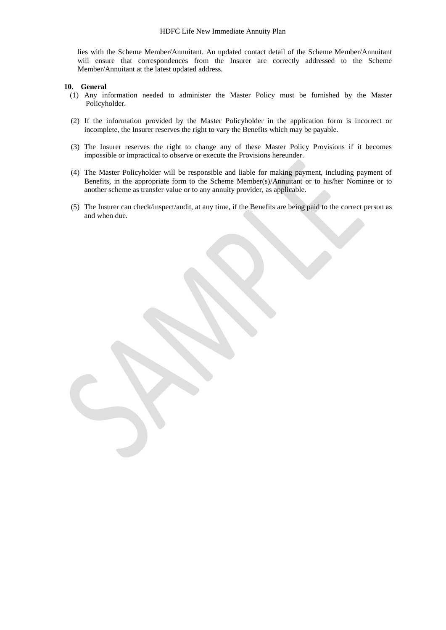lies with the Scheme Member/Annuitant. An updated contact detail of the Scheme Member/Annuitant will ensure that correspondences from the Insurer are correctly addressed to the Scheme Member/Annuitant at the latest updated address.

#### **10. General**

- (1) Any information needed to administer the Master Policy must be furnished by the Master Policyholder.
- (2) If the information provided by the Master Policyholder in the application form is incorrect or incomplete, the Insurer reserves the right to vary the Benefits which may be payable.
- (3) The Insurer reserves the right to change any of these Master Policy Provisions if it becomes impossible or impractical to observe or execute the Provisions hereunder.
- (4) The Master Policyholder will be responsible and liable for making payment, including payment of Benefits, in the appropriate form to the Scheme Member(s)/Annuitant or to his/her Nominee or to another scheme as transfer value or to any annuity provider, as applicable.
- (5) The Insurer can check/inspect/audit, at any time, if the Benefits are being paid to the correct person as and when due.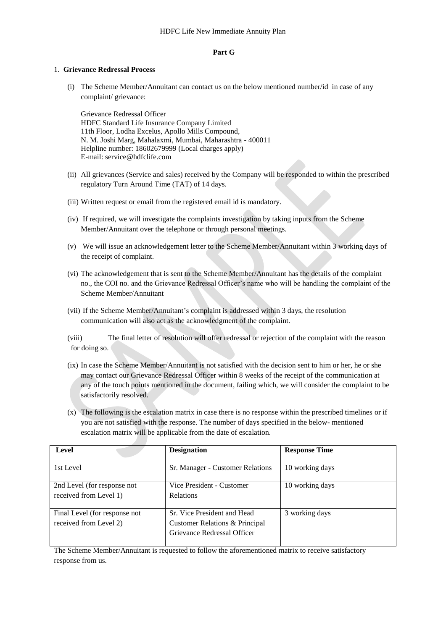#### **Part G**

#### 1. **Grievance Redressal Process**

(i) The Scheme Member/Annuitant can contact us on the below mentioned number/id in case of any complaint/ grievance:

Grievance Redressal Officer HDFC Standard Life Insurance Company Limited 11th Floor, Lodha Excelus, Apollo Mills Compound, N. M. Joshi Marg, Mahalaxmi, Mumbai, Maharashtra - 400011 Helpline number: 18602679999 (Local charges apply) E-mail: service@hdfclife.com

- (ii) All grievances (Service and sales) received by the Company will be responded to within the prescribed regulatory Turn Around Time (TAT) of 14 days.
- (iii) Written request or email from the registered email id is mandatory.
- (iv) If required, we will investigate the complaints investigation by taking inputs from the Scheme Member/Annuitant over the telephone or through personal meetings.
- (v) We will issue an acknowledgement letter to the Scheme Member/Annuitant within 3 working days of the receipt of complaint.
- (vi) The acknowledgement that is sent to the Scheme Member/Annuitant has the details of the complaint no., the COI no. and the Grievance Redressal Officer's name who will be handling the complaint of the Scheme Member/Annuitant
- (vii) If the Scheme Member/Annuitant's complaint is addressed within 3 days, the resolution communication will also act as the acknowledgment of the complaint.

(viii) The final letter of resolution will offer redressal or rejection of the complaint with the reason for doing so.

- (ix) In case the Scheme Member/Annuitant is not satisfied with the decision sent to him or her, he or she may contact our Grievance Redressal Officer within 8 weeks of the receipt of the communication at any of the touch points mentioned in the document, failing which, we will consider the complaint to be satisfactorily resolved.
- (x) The following is the escalation matrix in case there is no response within the prescribed timelines or if you are not satisfied with the response. The number of days specified in the below- mentioned escalation matrix will be applicable from the date of escalation.

| Level                                                   | <b>Designation</b>                                                                           | <b>Response Time</b> |
|---------------------------------------------------------|----------------------------------------------------------------------------------------------|----------------------|
| 1st Level                                               | Sr. Manager - Customer Relations                                                             | 10 working days      |
| 2nd Level (for response not<br>received from Level 1)   | Vice President - Customer<br><b>Relations</b>                                                | 10 working days      |
| Final Level (for response not<br>received from Level 2) | Sr. Vice President and Head<br>Customer Relations & Principal<br>Grievance Redressal Officer | 3 working days       |

The Scheme Member/Annuitant is requested to follow the aforementioned matrix to receive satisfactory response from us.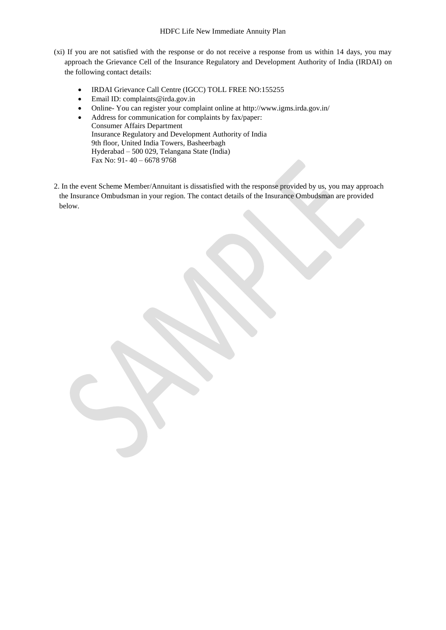- (xi) If you are not satisfied with the response or do not receive a response from us within 14 days, you may approach the Grievance Cell of the Insurance Regulatory and Development Authority of India (IRDAI) on the following contact details:
	- IRDAI Grievance Call Centre (IGCC) TOLL FREE NO:155255
	- Email ID: complaints@irda.gov.in
	- Online- You can register your complaint online at http://www.igms.irda.gov.in/
	- Address for communication for complaints by fax/paper: Consumer Affairs Department Insurance Regulatory and Development Authority of India 9th floor, United India Towers, Basheerbagh Hyderabad – 500 029, Telangana State (India) Fax No: 91- 40 – 6678 9768
- 2. In the event Scheme Member/Annuitant is dissatisfied with the response provided by us, you may approach the Insurance Ombudsman in your region. The contact details of the Insurance Ombudsman are provided below.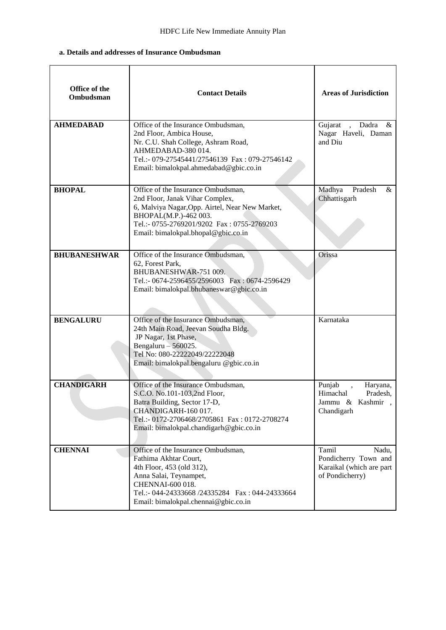# **a. Details and addresses of Insurance Ombudsman**

| Office of the<br>Ombudsman | <b>Contact Details</b>                                                                                                                                                                                                                 | <b>Areas of Jurisdiction</b>                                                          |
|----------------------------|----------------------------------------------------------------------------------------------------------------------------------------------------------------------------------------------------------------------------------------|---------------------------------------------------------------------------------------|
| <b>AHMEDABAD</b>           | Office of the Insurance Ombudsman,<br>2nd Floor, Ambica House,<br>Nr. C.U. Shah College, Ashram Road,<br>AHMEDABAD-380014.<br>Tel.:- 079-27545441/27546139 Fax: 079-27546142<br>Email: bimalokpal.ahmedabad@gbic.co.in                 | Gujarat , Dadra &<br>Nagar Haveli, Daman<br>and Diu                                   |
| <b>BHOPAL</b>              | Office of the Insurance Ombudsman,<br>2nd Floor, Janak Vihar Complex,<br>6, Malviya Nagar, Opp. Airtel, Near New Market,<br>BHOPAL(M.P.)-462 003.<br>Tel.:- 0755-2769201/9202 Fax: 0755-2769203<br>Email: bimalokpal.bhopal@gbic.co.in | Madhya<br>Pradesh<br>$\&$<br>Chhattisgarh                                             |
| <b>BHUBANESHWAR</b>        | Office of the Insurance Ombudsman,<br>62, Forest Park,<br>BHUBANESHWAR-751 009.<br>Tel.:- 0674-2596455/2596003 Fax: 0674-2596429<br>Email: bimalokpal.bhubaneswar@gbic.co.in                                                           | Orissa                                                                                |
| <b>BENGALURU</b>           | Office of the Insurance Ombudsman,<br>24th Main Road, Jeevan Soudha Bldg.<br>JP Nagar, 1st Phase,<br>Bengaluru $-560025$ .<br>Tel No: 080-22222049/22222048<br>Email: bimalokpal.bengaluru @gbic.co.in                                 | Karnataka                                                                             |
| <b>CHANDIGARH</b>          | Office of the Insurance Ombudsman,<br>S.C.O. No.101-103,2nd Floor,<br>Batra Building, Sector 17-D,<br>CHANDIGARH-160 017.<br>Tel.:- 0172-2706468/2705861 Fax: 0172-2708274<br>Email: bimalokpal.chandigarh@gbic.co.in                  | Punjab<br>Haryana,<br>Himachal<br>Pradesh,<br>Jammu & Kashmir,<br>Chandigarh          |
| <b>CHENNAI</b>             | Office of the Insurance Ombudsman,<br>Fathima Akhtar Court,<br>4th Floor, 453 (old 312),<br>Anna Salai, Teynampet,<br>CHENNAI-600 018.<br>Tel.:- 044-24333668 /24335284  Fax: 044-24333664<br>Email: bimalokpal.chennai@gbic.co.in     | Nadu,<br>Tamil<br>Pondicherry Town and<br>Karaikal (which are part<br>of Pondicherry) |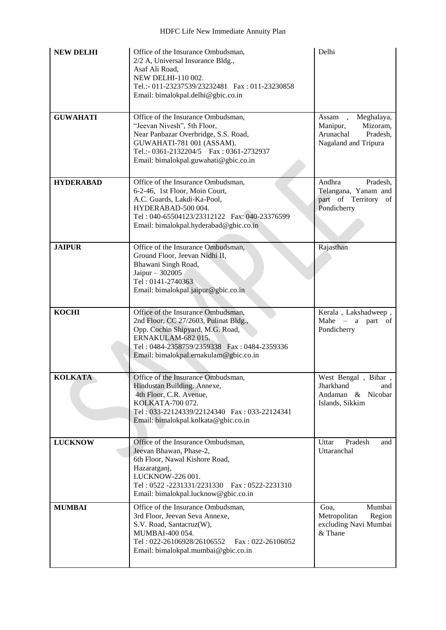| <b>NEW DELHI</b> | Office of the Insurance Ombudsman,<br>2/2 A, Universal Insurance Bldg.,<br>Asaf Ali Road,<br>NEW DELHI-110 002.<br>Tel.:- 011-23237539/23232481   Fax: 011-23230858<br>Email: bimalokpal.delhi@gbic.co.in                      | Delhi                                                                                         |
|------------------|--------------------------------------------------------------------------------------------------------------------------------------------------------------------------------------------------------------------------------|-----------------------------------------------------------------------------------------------|
| <b>GUWAHATI</b>  | Office of the Insurance Ombudsman,<br>"Jeevan Nivesh", 5th Floor,<br>Near Panbazar Overbridge, S.S. Road,<br>GUWAHATI-781 001 (ASSAM).<br>Tel.:- 0361-2132204/5   Fax: 0361-2732937<br>Email: bimalokpal.guwahati@gbic.co.in   | Meghalaya,<br>Assam,<br>Mizoram,<br>Manipur,<br>Arunachal<br>Pradesh,<br>Nagaland and Tripura |
| <b>HYDERABAD</b> | Office of the Insurance Ombudsman,<br>6-2-46, 1st Floor, Moin Court,<br>A.C. Guards, Lakdi-Ka-Pool,<br>HYDERABAD-500 004.<br>Tel: 040-65504123/23312122    Fax: 040-23376599<br>Email: bimalokpal.hyderabad@gbic.co.in         | Andhra<br>Pradesh,<br>Telangana, Yanam and<br>part of Territory of<br>Pondicherry             |
| <b>JAIPUR</b>    | Office of the Insurance Ombudsman,<br>Ground Floor, Jeevan Nidhi II,<br>Bhawani Singh Road,<br>Jaipur - 302005<br>Tel: 0141-2740363<br>Email: bimalokpal.jaipur@gbic.co.in                                                     | Rajasthan                                                                                     |
| <b>KOCHI</b>     | Office of the Insurance Ombudsman,<br>2nd Floor, CC 27/2603, Pulinat Bldg.,<br>Opp. Cochin Shipyard, M.G. Road,<br>ERNAKULAM-682015.<br>Tel: 0484-2358759/2359338  Fax: 0484-2359336<br>Email: bimalokpal.ernakulam@gbic.co.in | Kerala, Lakshadweep,<br>Mahe $-$ a part of<br>Pondicherry                                     |
| <b>KOLKATA</b>   | Office of the Insurance Ombudsman,<br>Hindustan Building. Annexe,<br>4th Floor, C.R. Avenue,<br>KOLKATA-700 072.<br>Tel: 033-22124339/22124340  Fax: 033-22124341<br>Email: bimalokpal.kolkata@gbic.co.in                      | West Bengal, Bihar<br>Jharkhand<br>and<br>Andaman & Nicobar<br>Islands, Sikkim                |
| <b>LUCKNOW</b>   | Office of the Insurance Ombudsman,<br>Jeevan Bhawan, Phase-2,<br>6th Floor, Nawal Kishore Road,<br>Hazaratganj,<br>LUCKNOW-226 001.<br>Tel: 0522 -2231331/2231330   Fax: 0522-2231310<br>Email: bimalokpal.lucknow@gbic.co.in  | Pradesh<br>Uttar<br>and<br>Uttaranchal                                                        |
| <b>MUMBAI</b>    | Office of the Insurance Ombudsman,<br>3rd Floor, Jeevan Seva Annexe,<br>S.V. Road, Santacruz(W),<br>MUMBAI-400 054.<br>Tel: 022-26106928/26106552<br>$Fax: 022-26106052$<br>Email: bimalokpal.mumbai@gbic.co.in                | Mumbai<br>Goa.<br>Metropolitan<br>Region<br>excluding Navi Mumbai<br>& Thane                  |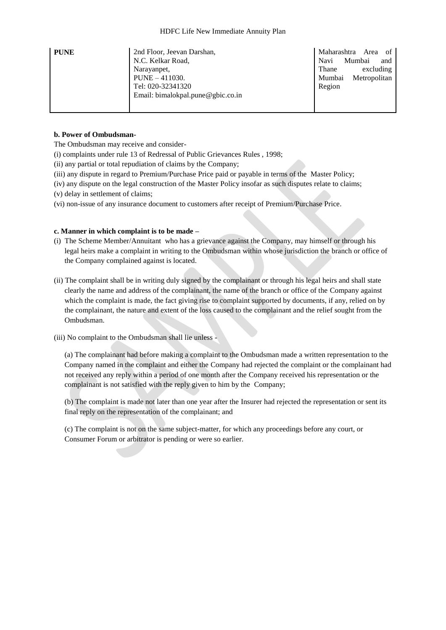| <b>PUNE</b> | 2nd Floor, Jeevan Darshan,<br>N.C. Kelkar Road, | Maharashtra Area<br>of<br>Mumbai<br>Navi<br>and |
|-------------|-------------------------------------------------|-------------------------------------------------|
|             | Narayanpet,                                     | Thane<br>excluding                              |
|             | $PUNE - 411030.$                                | Metropolitan<br>Mumbai                          |
|             | Tel: 020-32341320                               | Region                                          |
|             | Email: bimalokpal.pune@gbic.co.in               |                                                 |
|             |                                                 |                                                 |

#### **b. Power of Ombudsman-**

The Ombudsman may receive and consider-

- [\(i\)](http://indiankanoon.org/doc/160521836/) complaints under rule 13 of Redressal of Public Grievances Rules , 1998;
- [\(ii\)](http://indiankanoon.org/doc/156757242/) any partial or total repudiation of claims by the Company;
- [\(iii\)](http://indiankanoon.org/doc/163591613/) any dispute in regard to Premium/Purchase Price paid or payable in terms of the Master Policy;
- [\(iv\)](http://indiankanoon.org/doc/31367799/) any dispute on the legal construction of the Master Policy insofar as such disputes relate to claims;
- [\(v\)](http://indiankanoon.org/doc/26463888/) delay in settlement of claims;
- [\(vi\)](http://indiankanoon.org/doc/47238858/) non-issue of any insurance document to customers after receipt of Premium/Purchase Price.

#### **c. Manner in which complaint is to be made –**

- [\(i\)](http://indiankanoon.org/doc/160481793/) The Scheme Member/Annuitant who has a grievance against the Company, may himself or through his legal heirs make a complaint in writing to the Ombudsman within whose jurisdiction the branch or office of the Company complained against is located.
- [\(ii\)](http://indiankanoon.org/doc/116915928/) The complaint shall be in writing duly signed by the complainant or through his legal heirs and shall state clearly the name and address of the complainant, the name of the branch or office of the Company against which the complaint is made, the fact giving rise to complaint supported by documents, if any, relied on by the complainant, the nature and extent of the loss caused to the complainant and the relief sought from the Ombudsman.
- [\(iii\)](http://indiankanoon.org/doc/99464357/) No complaint to the Ombudsman shall lie unless -

[\(a\)](http://indiankanoon.org/doc/87794950/) The complainant had before making a complaint to the Ombudsman made a written representation to the Company named in the complaint and either the Company had rejected the complaint or the complainant had not received any reply within a period of one month after the Company received his representation or the complainant is not satisfied with the reply given to him by the Company;

[\(b\)](http://indiankanoon.org/doc/84880221/) The complaint is made not later than one year after the Insurer had rejected the representation or sent its final reply on the representation of the complainant; and

[\(c\)](http://indiankanoon.org/doc/116794480/) The complaint is not on the same subject-matter, for which any proceedings before any court, or Consumer Forum or arbitrator is pending or were so earlier.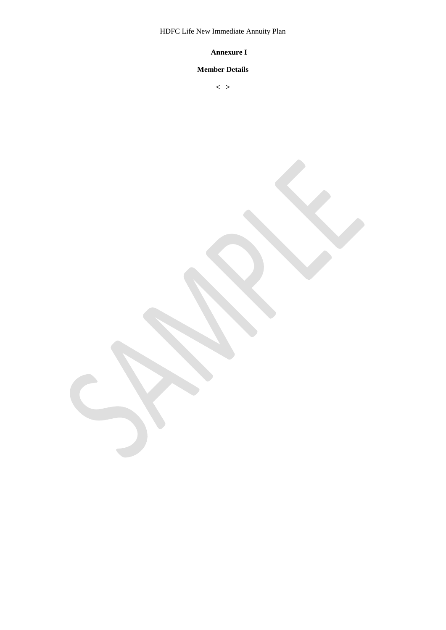HDFC Life New Immediate Annuity Plan

# **Annexure I**

# **Member Details**

**< >**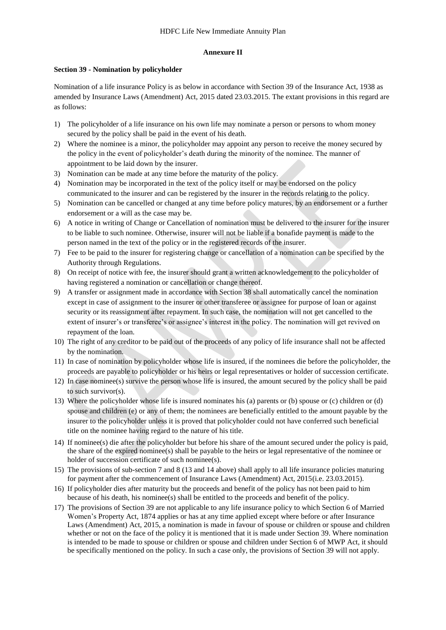#### **Annexure II**

#### **Section 39 - Nomination by policyholder**

Nomination of a life insurance Policy is as below in accordance with Section 39 of the Insurance Act, 1938 as amended by Insurance Laws (Amendment) Act, 2015 dated 23.03.2015. The extant provisions in this regard are as follows:

- 1) The policyholder of a life insurance on his own life may nominate a person or persons to whom money secured by the policy shall be paid in the event of his death.
- 2) Where the nominee is a minor, the policyholder may appoint any person to receive the money secured by the policy in the event of policyholder's death during the minority of the nominee. The manner of appointment to be laid down by the insurer.
- 3) Nomination can be made at any time before the maturity of the policy.
- 4) Nomination may be incorporated in the text of the policy itself or may be endorsed on the policy communicated to the insurer and can be registered by the insurer in the records relating to the policy.
- 5) Nomination can be cancelled or changed at any time before policy matures, by an endorsement or a further endorsement or a will as the case may be.
- 6) A notice in writing of Change or Cancellation of nomination must be delivered to the insurer for the insurer to be liable to such nominee. Otherwise, insurer will not be liable if a bonafide payment is made to the person named in the text of the policy or in the registered records of the insurer.
- 7) Fee to be paid to the insurer for registering change or cancellation of a nomination can be specified by the Authority through Regulations.
- 8) On receipt of notice with fee, the insurer should grant a written acknowledgement to the policyholder of having registered a nomination or cancellation or change thereof.
- 9) A transfer or assignment made in accordance with Section 38 shall automatically cancel the nomination except in case of assignment to the insurer or other transferee or assignee for purpose of loan or against security or its reassignment after repayment. In such case, the nomination will not get cancelled to the extent of insurer's or transferee's or assignee's interest in the policy. The nomination will get revived on repayment of the loan.
- 10) The right of any creditor to be paid out of the proceeds of any policy of life insurance shall not be affected by the nomination.
- 11) In case of nomination by policyholder whose life is insured, if the nominees die before the policyholder, the proceeds are payable to policyholder or his heirs or legal representatives or holder of succession certificate.
- 12) In case nominee(s) survive the person whose life is insured, the amount secured by the policy shall be paid to such survivor(s).
- 13) Where the policyholder whose life is insured nominates his (a) parents or (b) spouse or (c) children or (d) spouse and children (e) or any of them; the nominees are beneficially entitled to the amount payable by the insurer to the policyholder unless it is proved that policyholder could not have conferred such beneficial title on the nominee having regard to the nature of his title.
- 14) If nominee(s) die after the policyholder but before his share of the amount secured under the policy is paid, the share of the expired nominee(s) shall be payable to the heirs or legal representative of the nominee or holder of succession certificate of such nominee(s).
- 15) The provisions of sub-section 7 and 8 (13 and 14 above) shall apply to all life insurance policies maturing for payment after the commencement of Insurance Laws (Amendment) Act, 2015(i.e. 23.03.2015).
- 16) If policyholder dies after maturity but the proceeds and benefit of the policy has not been paid to him because of his death, his nominee(s) shall be entitled to the proceeds and benefit of the policy.
- 17) The provisions of Section 39 are not applicable to any life insurance policy to which Section 6 of Married Women's Property Act, 1874 applies or has at any time applied except where before or after Insurance Laws (Amendment) Act, 2015, a nomination is made in favour of spouse or children or spouse and children whether or not on the face of the policy it is mentioned that it is made under Section 39. Where nomination is intended to be made to spouse or children or spouse and children under Section 6 of MWP Act, it should be specifically mentioned on the policy. In such a case only, the provisions of Section 39 will not apply.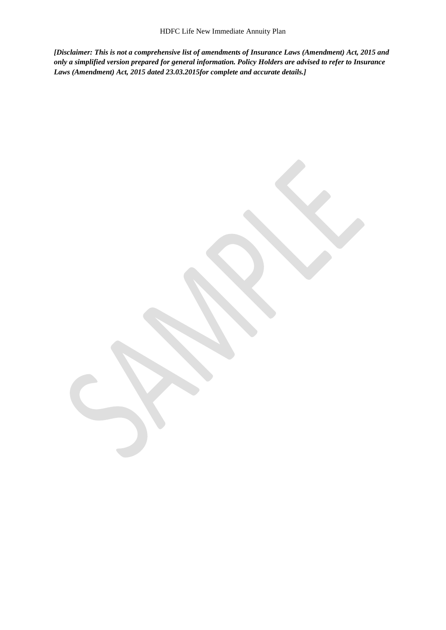*[Disclaimer: This is not a comprehensive list of amendments of Insurance Laws (Amendment) Act, 2015 and only a simplified version prepared for general information. Policy Holders are advised to refer to Insurance Laws (Amendment) Act, 2015 dated 23.03.2015for complete and accurate details.]*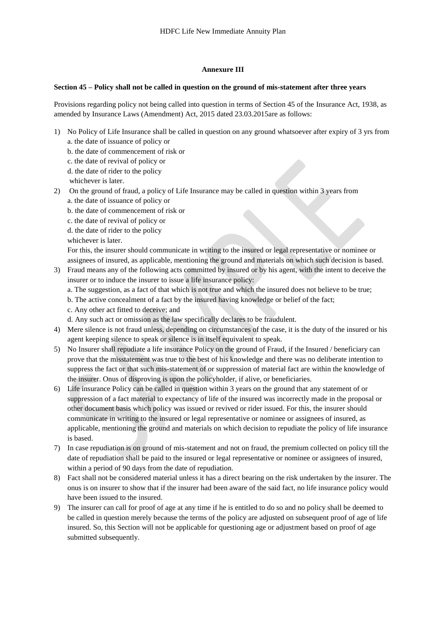#### **Annexure III**

#### **Section 45 – Policy shall not be called in question on the ground of mis-statement after three years**

Provisions regarding policy not being called into question in terms of Section 45 of the Insurance Act, 1938, as amended by Insurance Laws (Amendment) Act, 2015 dated 23.03.2015are as follows:

- 1) No Policy of Life Insurance shall be called in question on any ground whatsoever after expiry of 3 yrs from a. the date of issuance of policy or
	- b. the date of commencement of risk or
	- c. the date of revival of policy or
	- d. the date of rider to the policy

whichever is later.

- 2) On the ground of fraud, a policy of Life Insurance may be called in question within 3 years from a. the date of issuance of policy or
	- b. the date of commencement of risk or
	- c. the date of revival of policy or
	- d. the date of rider to the policy
	- whichever is later.

For this, the insurer should communicate in writing to the insured or legal representative or nominee or assignees of insured, as applicable, mentioning the ground and materials on which such decision is based.

- 3) Fraud means any of the following acts committed by insured or by his agent, with the intent to deceive the insurer or to induce the insurer to issue a life insurance policy:
	- a. The suggestion, as a fact of that which is not true and which the insured does not believe to be true;
	- b. The active concealment of a fact by the insured having knowledge or belief of the fact;
	- c. Any other act fitted to deceive; and
	- d. Any such act or omission as the law specifically declares to be fraudulent.
- 4) Mere silence is not fraud unless, depending on circumstances of the case, it is the duty of the insured or his agent keeping silence to speak or silence is in itself equivalent to speak.
- 5) No Insurer shall repudiate a life insurance Policy on the ground of Fraud, if the Insured / beneficiary can prove that the misstatement was true to the best of his knowledge and there was no deliberate intention to suppress the fact or that such mis-statement of or suppression of material fact are within the knowledge of the insurer. Onus of disproving is upon the policyholder, if alive, or beneficiaries.
- 6) Life insurance Policy can be called in question within 3 years on the ground that any statement of or suppression of a fact material to expectancy of life of the insured was incorrectly made in the proposal or other document basis which policy was issued or revived or rider issued. For this, the insurer should communicate in writing to the insured or legal representative or nominee or assignees of insured, as applicable, mentioning the ground and materials on which decision to repudiate the policy of life insurance is based.
- 7) In case repudiation is on ground of mis-statement and not on fraud, the premium collected on policy till the date of repudiation shall be paid to the insured or legal representative or nominee or assignees of insured, within a period of 90 days from the date of repudiation.
- 8) Fact shall not be considered material unless it has a direct bearing on the risk undertaken by the insurer. The onus is on insurer to show that if the insurer had been aware of the said fact, no life insurance policy would have been issued to the insured.
- 9) The insurer can call for proof of age at any time if he is entitled to do so and no policy shall be deemed to be called in question merely because the terms of the policy are adjusted on subsequent proof of age of life insured. So, this Section will not be applicable for questioning age or adjustment based on proof of age submitted subsequently.